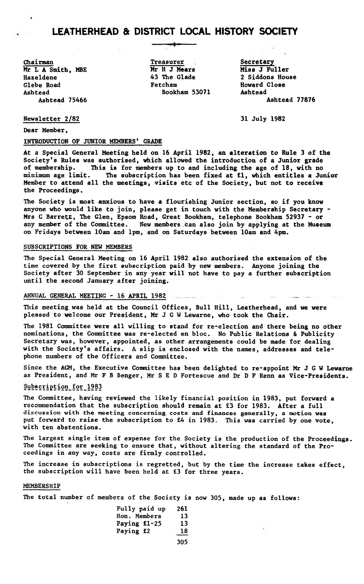# LEATHERHEAD & DISTRICT LOCAL HISTORY SOCIETY

**Chairman Mr L A Smith, MBE Hazeldene Glebe Road Ashtead**

**Treasurer A Mr H J Mears 43 The Glade Fetcham Bookham 53071**

**Secretary Miss J Fuller 2 Siddons House Howard Close Ashtead Ashtead 75466 Ashtead 77876**

**Newsletter 2/82 31 July 1982**

**Dear Member,**

#### **INTRODUCTION OF JUNIOR MEMBERS' GRADE**

 $\sim$   $\times$ 

**At a Special General Meeting held on 16 April 1982, an alteration to Rule 3 of the Society's Rules was authorised, which allowed the introduction of a Junior grade of membership. This is for members up to and including the age of 18, with no minimum age limit. The subscription has been fixed at £1, which entitles a Junior Member to attend all the meetings, visits etc of the Society, but not to receive the Proceedings.**

**The Society is most anxious to have a flourishing Junior section, so if you know anyone who would like to join, please get in touch with the Membership Secretary -** Mrs C Barrett, The Glen, Epsom Road, Great Bookham, telephone Bookham 52937 - or **any member of the Committee. New members can also join by applying at the Museum on Fridays between 10am and 1pm, and on Saturdays between 10am and 4pm.**

#### **SUBSCRIPTIONS FOR NEW MEMBERS**

**The Special General Meeting on** 16 **April** 1982 **also authorised the extension of the time covered by the first subscription paid by new members. Anyone joining the Society after** 30 **September in any year will not have to pay a further subscription until the second January after joining.**

#### ANNUAL GENERAL MEETING - 16 APRIL 1982

**This meeting was held at the Council Offices, Bull Hill, Leatherhead, and we were pleased to welcome our President, Mr J G W Lewarne, who took the Chair.**

**The** 1981 **Committee were all willing to stand for re-election and there being no other nominations, the Committee was re-elected en bloc. No Public Relations & Publicity Secretary was, however, appointed, as other arrangements could be made for dealing with the Society's affairs. A slip is enclosed with the names, addresses and telephone numbers of the Officers and Committee.**

**Since the AGM, the Executive Committee has been delighted to re-appoint Mr J G W Lewarne as President, and Mr F B Benger, Mr S E D Fortescue and Dr D F Renn as Vice-Presidents.**

## **§ ££ ip!: i°5\_** £21 **\_ 12 § 2**

**Hie Committee, having reviewed the likely financial position in** 1983, **put forward a recommendation that the subscription should remain at** £3 **for** 1983. **After a full** discussion with the meeting concerning costs and finances generally, **a** motion **was** put **forward to raise the subscription to £4 in** 1983. **This was carried by one vote, with ten abstentions.**

**The largest single item of expense for the Society is the production of the Proceedings. The Committee are seeking to ensure that, without altering the standard of the Proceedings in any way, costs are firmly controlled.**

**The increase in subscriptions is regretted, but by the time the increase takes effect, the subscription will have been held at £3 for three years.**

#### **MEMBERSHIP**

**The total number of members of the Society is now** 305, **made up as follows:**

| Fully paid up       | 261 |
|---------------------|-----|
| <b>Hon. Members</b> | 13  |
| Paying fl-25        | 13  |
| Paying £2           | 18  |
|                     |     |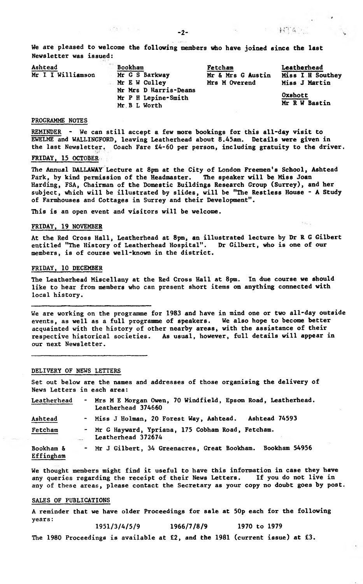$-73 + 64$ 

**We are pleased to welcome the following members who have joined since the last Newsletter was issued:**

| Ashtead           | Bookham               | Fetcham           | Leatherhead      |
|-------------------|-----------------------|-------------------|------------------|
| Mr I I Williamson | Mr G S Barkway        | Mr & Mrs G Austin | Miss I H Southey |
|                   | Mr E W Culley         | Mrs M Overend     | Miss J Martin    |
|                   | Mr Mrs D Harris-Deans |                   |                  |
|                   | Mr P H Lepine-Smith   |                   | Oxshott          |
|                   | Mr B L Worth          |                   | Mr R W Bastin    |

## **PROGRAMME NOTES**

**REMINDER - We can still accept a few more bookings for this all-day visit to EWELME and WALLINGFORD, leaving Leatherhead about 8.45am. Details were given in the last Newsletter. Coach Fare £4-60 per person, including gratuity to the driver.**

# **FRIDAY, 15 OCTOBER**

**The Annual DALLAWAY Lecture at 8pm at the City of London Freemen's School, Ashtead Park, by kind permission of the Headmaster. The speaker will be Miss Joan Harding, FSA, Chairman of the Domestic Buildings Research Group (Surrey), and her subject, which will be illustrated by slides, will be "The Restless House - A Study of Farmhouses and Cottages in Surrey and their Development".**

**This is an open event and visitors will be welcome.**

## **FRIDAY, 19 NOVEMBER**

**At the Red Cross Hall, Leatherhead at 8pm, an illustrated lecture by Dr R G Gilbert entitled "The History of Leatherhead Hospital". Dr Gilbert, who is one of our members, is of course well-known in the district.**

#### **FRIDAY, 10 DECEMBER**

**The Leatherhead Miscellany at the Red Cross Hall at 8pm. In due course we should like to hear from members who can present short items on anything connected with local history.**

**We are working on the programme for 1983 and have in mind one or two all-day outside events, as well as a full programme of speakers. We also hope to become better acquainted with the history of other nearby areas, with the assistance of their respective historical societies. As usual, however, full details will appear in our next Newsletter.**

#### **DELIVERY OF NEWS LETTERS**

**Set out below are the names and addresses of those organising the delivery of News Letters in each area:**

| Leatherhead            | - Mrs M E Morgan Owen, 70 Windfield, Epsom Road, Leatherhead.<br>Leatherhead 374660 |  |  |
|------------------------|-------------------------------------------------------------------------------------|--|--|
| Ashtead                | - Miss J Holman, 20 Forest Way, Ashtead. Ashtead 74593                              |  |  |
| Fetcham                | - Mr G Hayward, Ypriana, 175 Cobham Road, Fetcham.<br>Leatherhead 372674            |  |  |
| Bookham &<br>Effingham | - Mr J Gilbert, 34 Greenacres, Great Bookham. Bookham 54956                         |  |  |

**We thought members might find it useful to have this information in case they have any queries regarding the receipt of their News Letters. If you do not live in any of these areas, please contact the Secretary as your copy no doubt goes by post.**

## **SALES OF PUBLICATIONS**

**A reminder that we have older Proceedings for sale at 50p each for the following years: 1951/3/4/5/9 1966/7/8/9 1970 to 1979**

**The 1980 Proceedings is available at £2, and the 1981 (current issue) at £3.**

 $1.776$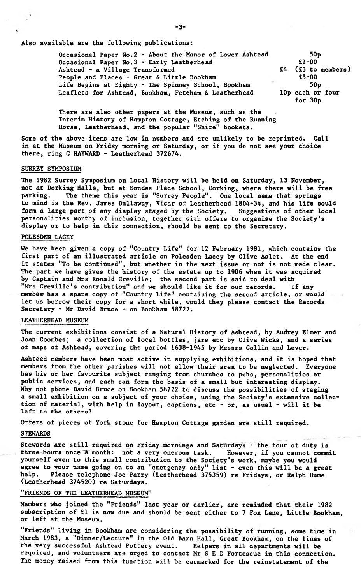**Also available are the following publications:**

| Occasional Paper No.2 - About the Manor of Lower Ashtead | 50 <sub>p</sub>      |
|----------------------------------------------------------|----------------------|
| Occasional Paper No.3 - Early Leatherhead                | $£1 - 00$            |
| Ashtead - a Village Transformed                          | $£4$ (£3 to members) |
| People and Places - Great & Little Bookham               | $£3 - 00$            |
| Life Begins at Eighty - The Spinney School, Bookham      | 50 <sub>D</sub>      |
| Leaflets for Ashtead, Bookham, Fetcham & Leatherhead     | 10p each or four     |
|                                                          | for $30p$            |

**There are also other papers at the Museum, such as the Interim History of Hampton Cottage, Etching of the Running Horse, Leatherhead, and the popular "Shire" bookets.**

**Some of the above items are low in numbers and are unlikely to be reprinted. Call in at the Museum on Friday morning or Saturday, or if you do not see your choice there, ring G HAYWARD \* Leatherhead 372674.**

## **SURREY SYMPOSIUM**

**The 1982 Surrey Symposium on Local History will be held on Saturday, 13 November, not at Dorking Halls, but at Sondes Place School, Dorking, where there will be free** The theme this year is "Surrey People". One local name that springs **to mind is the Rev. James Dallaway, Vicar of Leatherhead 1804-34, and his life could** form a large part of any display staged by the Society. **personalities worthy of inclusion, together with offers to organise the Society's display or to help in this connection, should be sent to the Secretary.**

## **POLESDEN LACEY**

**We have been given a copy of "Country Life" for 12 February 1981, which contains the first part of an illustrated article on Polesden Lacey by Clive Aslet. At the end it states "To be continued", but whether in the next issue or not is not made clear. The part we have gives the history of the estate up to 1906 when it was acquired by Captain and Mrs Ronald Greville; the second part is said to deal with** "Mrs Greville's contribution" and we should like it for our records. **member has a spare copy of "Country Life" containing the second article, or would let us borrow their copy for a short while, would they please contact the Records Secretary - Mr David Bruce - on Bookham 58722.**

## **LEATHERHEAD MUSEUM**

**The current exhibitions consist of a Natural History of Ashtead, by Audrey Elmer and Joan Coombes; a collection of local bottles, jars etc by Clive Wicks, and a series of maps of Ashtead, covering the period 1638-1945 by Messrs Gollin and Lever.**

**Ashtead members have been most active in supplying exhibitions, and it is hoped that members from the other parishes will not allow their area to be neglected. Everyone has his or her favourite subject ranging from churches to pubs, personalities or public services, and each can form the basis of a small but interesting display. Why not phone David Bruce on Bookham 58722 to discuss the possibilities of staging a small exhibition on a subject of your choice, using the Society's extensive collection of material, with help in layout, captions, etc - or, as usual - will it be left to the others?**

**Offers of pieces of York stone for Hampton Cottage garden are still required.**

#### **STEWARDS**

**Stewards are still required on Friday mornings and Saturdays - the tour of duty is three hours once a month: not a very onerous task. However, if you cannot commit yourself even to this small contribution to the Society's work, maybe you would agree to your name going on to an "emergency only" list - even this will be a great help. Please telephone Joe Parry (Leatherhead 375359) re Fridays, or Ralph Hume (Leatherhead 374520) re Saturdays.**

#### **"FRIENDS OF THE LEATHERHEAD MUSEUM"**

**Members who joined the "Friends" last year or earlier, are reminded that their 1982 subscription of £1 is now due and should be sent either to 7 Fox Lane, Little Bookham, or left at the Museum.**

**"Friends" living in Bookham are considering the possibility of running, some time in March 1983, a "Dinner/Lecture" in the Old Barn Hall, Great Bookham, on the lines of the very successful Ashtead Pottery event. Helpers in all departments will be required, and volunteers are urged to contact Mr S E D Fortescue in this connection. The money raised from this function will be earmarked for the reinstatement of the**